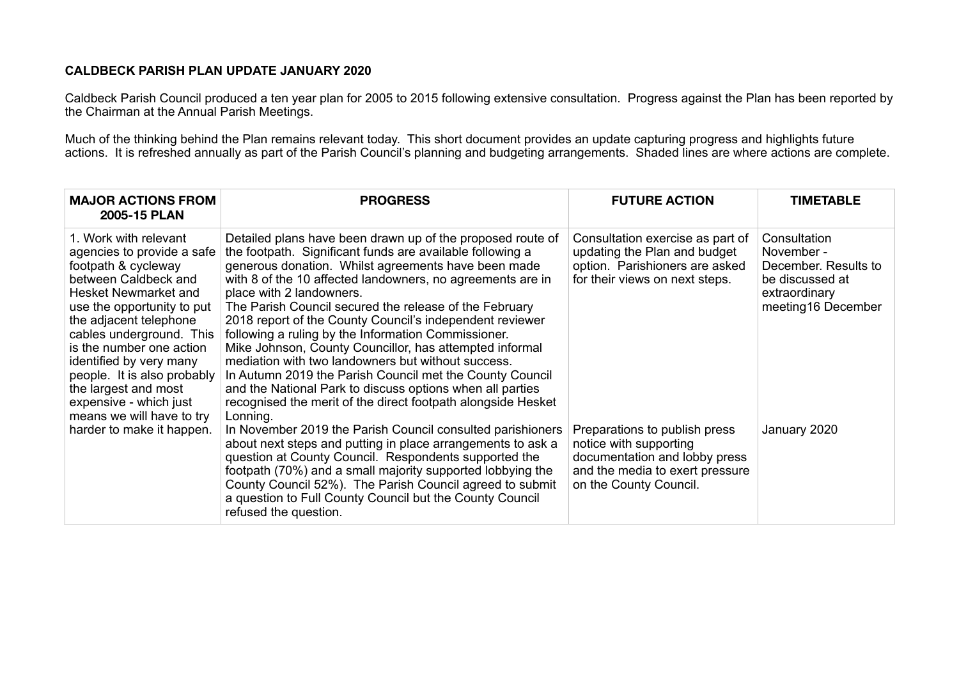## **CALDBECK PARISH PLAN UPDATE JANUARY 2020**

Caldbeck Parish Council produced a ten year plan for 2005 to 2015 following extensive consultation. Progress against the Plan has been reported by the Chairman at the Annual Parish Meetings.

Much of the thinking behind the Plan remains relevant today. This short document provides an update capturing progress and highlights future actions. It is refreshed annually as part of the Parish Council's planning and budgeting arrangements. Shaded lines are where actions are complete.

| <b>MAJOR ACTIONS FROM</b><br>2005-15 PLAN                                                                                                                                                                                                                                                                                                                                           | <b>PROGRESS</b>                                                                                                                                                                                                                                                                                                                                                                                                                                                                                                                                                                                                                                                                                                                                                             | <b>FUTURE ACTION</b>                                                                                                                                  | <b>TIMETABLE</b>                                                                                             |
|-------------------------------------------------------------------------------------------------------------------------------------------------------------------------------------------------------------------------------------------------------------------------------------------------------------------------------------------------------------------------------------|-----------------------------------------------------------------------------------------------------------------------------------------------------------------------------------------------------------------------------------------------------------------------------------------------------------------------------------------------------------------------------------------------------------------------------------------------------------------------------------------------------------------------------------------------------------------------------------------------------------------------------------------------------------------------------------------------------------------------------------------------------------------------------|-------------------------------------------------------------------------------------------------------------------------------------------------------|--------------------------------------------------------------------------------------------------------------|
| 1. Work with relevant<br>agencies to provide a safe<br>footpath & cycleway<br>between Caldbeck and<br>Hesket Newmarket and<br>use the opportunity to put<br>the adjacent telephone<br>cables underground. This<br>is the number one action<br>identified by very many<br>people. It is also probably<br>the largest and most<br>expensive - which just<br>means we will have to try | Detailed plans have been drawn up of the proposed route of<br>the footpath. Significant funds are available following a<br>generous donation. Whilst agreements have been made<br>with 8 of the 10 affected landowners, no agreements are in<br>place with 2 landowners.<br>The Parish Council secured the release of the February<br>2018 report of the County Council's independent reviewer<br>following a ruling by the Information Commissioner.<br>Mike Johnson, County Councillor, has attempted informal<br>mediation with two landowners but without success.<br>In Autumn 2019 the Parish Council met the County Council<br>and the National Park to discuss options when all parties<br>recognised the merit of the direct footpath alongside Hesket<br>Lonning. | Consultation exercise as part of<br>updating the Plan and budget<br>option. Parishioners are asked<br>for their views on next steps.                  | Consultation<br>November -<br>December. Results to<br>be discussed at<br>extraordinary<br>meeting16 December |
| harder to make it happen.                                                                                                                                                                                                                                                                                                                                                           | In November 2019 the Parish Council consulted parishioners<br>about next steps and putting in place arrangements to ask a<br>question at County Council. Respondents supported the<br>footpath (70%) and a small majority supported lobbying the<br>County Council 52%). The Parish Council agreed to submit<br>a question to Full County Council but the County Council<br>refused the question.                                                                                                                                                                                                                                                                                                                                                                           | Preparations to publish press<br>notice with supporting<br>documentation and lobby press<br>and the media to exert pressure<br>on the County Council. | January 2020                                                                                                 |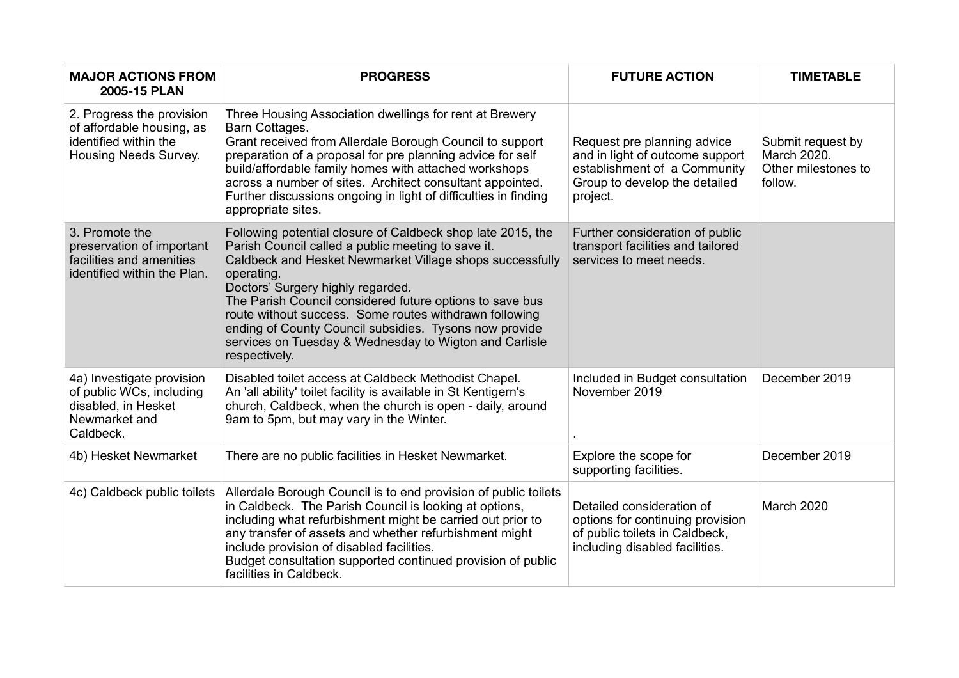| <b>MAJOR ACTIONS FROM</b><br>2005-15 PLAN                                                                  | <b>PROGRESS</b>                                                                                                                                                                                                                                                                                                                                                                                                                                                                             | <b>FUTURE ACTION</b>                                                                                                                        | <b>TIMETABLE</b>                                                   |
|------------------------------------------------------------------------------------------------------------|---------------------------------------------------------------------------------------------------------------------------------------------------------------------------------------------------------------------------------------------------------------------------------------------------------------------------------------------------------------------------------------------------------------------------------------------------------------------------------------------|---------------------------------------------------------------------------------------------------------------------------------------------|--------------------------------------------------------------------|
| 2. Progress the provision<br>of affordable housing, as<br>identified within the<br>Housing Needs Survey.   | Three Housing Association dwellings for rent at Brewery<br>Barn Cottages.<br>Grant received from Allerdale Borough Council to support<br>preparation of a proposal for pre planning advice for self<br>build/affordable family homes with attached workshops<br>across a number of sites. Architect consultant appointed.<br>Further discussions ongoing in light of difficulties in finding<br>appropriate sites.                                                                          | Request pre planning advice<br>and in light of outcome support<br>establishment of a Community<br>Group to develop the detailed<br>project. | Submit request by<br>March 2020.<br>Other milestones to<br>follow. |
| 3. Promote the<br>preservation of important<br>facilities and amenities<br>identified within the Plan.     | Following potential closure of Caldbeck shop late 2015, the<br>Parish Council called a public meeting to save it.<br>Caldbeck and Hesket Newmarket Village shops successfully<br>operating.<br>Doctors' Surgery highly regarded.<br>The Parish Council considered future options to save bus<br>route without success. Some routes withdrawn following<br>ending of County Council subsidies. Tysons now provide<br>services on Tuesday & Wednesday to Wigton and Carlisle<br>respectively. | Further consideration of public<br>transport facilities and tailored<br>services to meet needs.                                             |                                                                    |
| 4a) Investigate provision<br>of public WCs, including<br>disabled, in Hesket<br>Newmarket and<br>Caldbeck. | Disabled toilet access at Caldbeck Methodist Chapel.<br>An 'all ability' toilet facility is available in St Kentigern's<br>church, Caldbeck, when the church is open - daily, around<br>9am to 5pm, but may vary in the Winter.                                                                                                                                                                                                                                                             | Included in Budget consultation<br>November 2019                                                                                            | December 2019                                                      |
| 4b) Hesket Newmarket                                                                                       | There are no public facilities in Hesket Newmarket.                                                                                                                                                                                                                                                                                                                                                                                                                                         | Explore the scope for<br>supporting facilities.                                                                                             | December 2019                                                      |
| 4c) Caldbeck public toilets                                                                                | Allerdale Borough Council is to end provision of public toilets<br>in Caldbeck. The Parish Council is looking at options,<br>including what refurbishment might be carried out prior to<br>any transfer of assets and whether refurbishment might<br>include provision of disabled facilities.<br>Budget consultation supported continued provision of public<br>facilities in Caldbeck.                                                                                                    | Detailed consideration of<br>options for continuing provision<br>of public toilets in Caldbeck,<br>including disabled facilities.           | March 2020                                                         |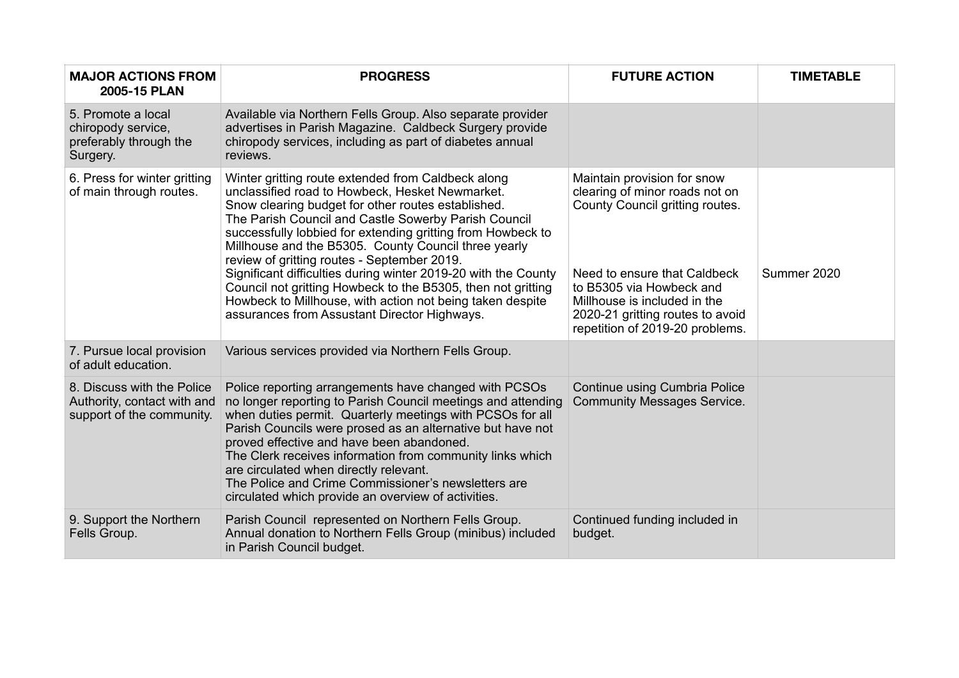| <b>MAJOR ACTIONS FROM</b><br>2005-15 PLAN                                              | <b>PROGRESS</b>                                                                                                                                                                                                                                                                                                                                                                                                                                                                                                                                                                                                                          | <b>FUTURE ACTION</b>                                                                                                                                                                                                                                                | <b>TIMETABLE</b> |
|----------------------------------------------------------------------------------------|------------------------------------------------------------------------------------------------------------------------------------------------------------------------------------------------------------------------------------------------------------------------------------------------------------------------------------------------------------------------------------------------------------------------------------------------------------------------------------------------------------------------------------------------------------------------------------------------------------------------------------------|---------------------------------------------------------------------------------------------------------------------------------------------------------------------------------------------------------------------------------------------------------------------|------------------|
| 5. Promote a local<br>chiropody service,<br>preferably through the<br>Surgery.         | Available via Northern Fells Group. Also separate provider<br>advertises in Parish Magazine. Caldbeck Surgery provide<br>chiropody services, including as part of diabetes annual<br>reviews.                                                                                                                                                                                                                                                                                                                                                                                                                                            |                                                                                                                                                                                                                                                                     |                  |
| 6. Press for winter gritting<br>of main through routes.                                | Winter gritting route extended from Caldbeck along<br>unclassified road to Howbeck, Hesket Newmarket.<br>Snow clearing budget for other routes established.<br>The Parish Council and Castle Sowerby Parish Council<br>successfully lobbied for extending gritting from Howbeck to<br>Millhouse and the B5305. County Council three yearly<br>review of gritting routes - September 2019.<br>Significant difficulties during winter 2019-20 with the County<br>Council not gritting Howbeck to the B5305, then not gritting<br>Howbeck to Millhouse, with action not being taken despite<br>assurances from Assustant Director Highways. | Maintain provision for snow<br>clearing of minor roads not on<br>County Council gritting routes.<br>Need to ensure that Caldbeck<br>to B5305 via Howbeck and<br>Millhouse is included in the<br>2020-21 gritting routes to avoid<br>repetition of 2019-20 problems. | Summer 2020      |
| 7. Pursue local provision<br>of adult education.                                       | Various services provided via Northern Fells Group.                                                                                                                                                                                                                                                                                                                                                                                                                                                                                                                                                                                      |                                                                                                                                                                                                                                                                     |                  |
| 8. Discuss with the Police<br>Authority, contact with and<br>support of the community. | Police reporting arrangements have changed with PCSOs<br>no longer reporting to Parish Council meetings and attending<br>when duties permit. Quarterly meetings with PCSOs for all<br>Parish Councils were prosed as an alternative but have not<br>proved effective and have been abandoned.<br>The Clerk receives information from community links which<br>are circulated when directly relevant.<br>The Police and Crime Commissioner's newsletters are<br>circulated which provide an overview of activities.                                                                                                                       | Continue using Cumbria Police<br><b>Community Messages Service.</b>                                                                                                                                                                                                 |                  |
| 9. Support the Northern<br>Fells Group.                                                | Parish Council represented on Northern Fells Group.<br>Annual donation to Northern Fells Group (minibus) included<br>in Parish Council budget.                                                                                                                                                                                                                                                                                                                                                                                                                                                                                           | Continued funding included in<br>budget.                                                                                                                                                                                                                            |                  |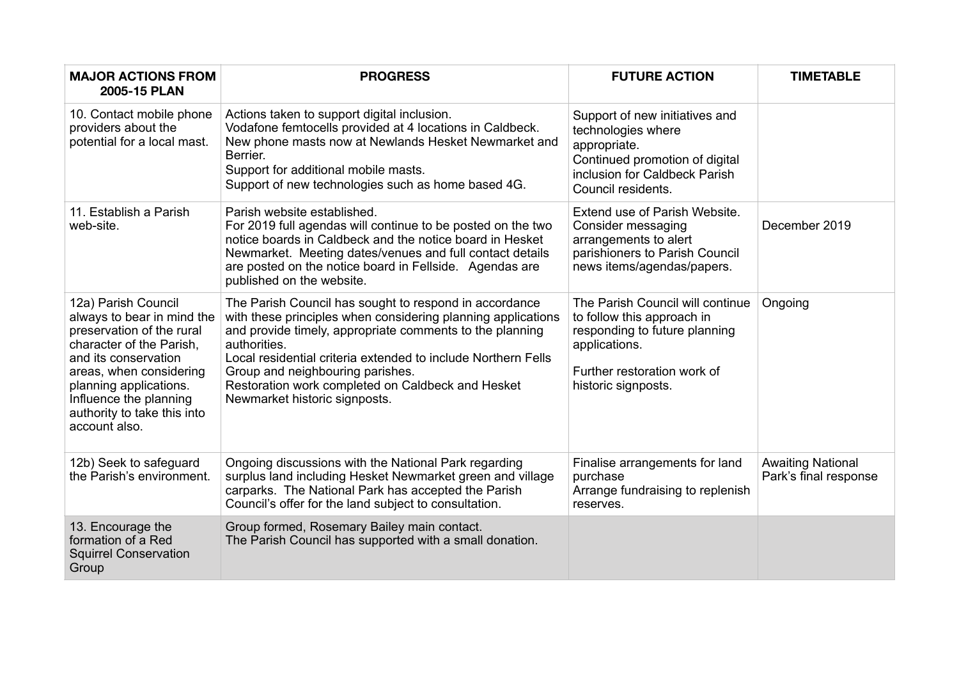| <b>MAJOR ACTIONS FROM</b><br>2005-15 PLAN                                                                                                                                                                                                                         | <b>PROGRESS</b>                                                                                                                                                                                                                                                                                                                                                                               | <b>FUTURE ACTION</b>                                                                                                                                                   | <b>TIMETABLE</b>                                  |
|-------------------------------------------------------------------------------------------------------------------------------------------------------------------------------------------------------------------------------------------------------------------|-----------------------------------------------------------------------------------------------------------------------------------------------------------------------------------------------------------------------------------------------------------------------------------------------------------------------------------------------------------------------------------------------|------------------------------------------------------------------------------------------------------------------------------------------------------------------------|---------------------------------------------------|
| 10. Contact mobile phone<br>providers about the<br>potential for a local mast.                                                                                                                                                                                    | Actions taken to support digital inclusion.<br>Vodafone femtocells provided at 4 locations in Caldbeck.<br>New phone masts now at Newlands Hesket Newmarket and<br>Berrier.<br>Support for additional mobile masts.<br>Support of new technologies such as home based 4G.                                                                                                                     | Support of new initiatives and<br>technologies where<br>appropriate.<br>Continued promotion of digital<br>inclusion for Caldbeck Parish<br>Council residents.          |                                                   |
| 11. Establish a Parish<br>web-site.                                                                                                                                                                                                                               | Parish website established.<br>For 2019 full agendas will continue to be posted on the two<br>notice boards in Caldbeck and the notice board in Hesket<br>Newmarket. Meeting dates/venues and full contact details<br>are posted on the notice board in Fellside. Agendas are<br>published on the website.                                                                                    | Extend use of Parish Website.<br>Consider messaging<br>arrangements to alert<br>parishioners to Parish Council<br>news items/agendas/papers.                           | December 2019                                     |
| 12a) Parish Council<br>always to bear in mind the<br>preservation of the rural<br>character of the Parish,<br>and its conservation<br>areas, when considering<br>planning applications.<br>Influence the planning<br>authority to take this into<br>account also. | The Parish Council has sought to respond in accordance<br>with these principles when considering planning applications<br>and provide timely, appropriate comments to the planning<br>authorities.<br>Local residential criteria extended to include Northern Fells<br>Group and neighbouring parishes.<br>Restoration work completed on Caldbeck and Hesket<br>Newmarket historic signposts. | The Parish Council will continue<br>to follow this approach in<br>responding to future planning<br>applications.<br>Further restoration work of<br>historic signposts. | Ongoing                                           |
| 12b) Seek to safeguard<br>the Parish's environment.                                                                                                                                                                                                               | Ongoing discussions with the National Park regarding<br>surplus land including Hesket Newmarket green and village<br>carparks. The National Park has accepted the Parish<br>Council's offer for the land subject to consultation.                                                                                                                                                             | Finalise arrangements for land<br>purchase<br>Arrange fundraising to replenish<br>reserves.                                                                            | <b>Awaiting National</b><br>Park's final response |
| 13. Encourage the<br>formation of a Red<br><b>Squirrel Conservation</b><br>Group                                                                                                                                                                                  | Group formed, Rosemary Bailey main contact.<br>The Parish Council has supported with a small donation.                                                                                                                                                                                                                                                                                        |                                                                                                                                                                        |                                                   |